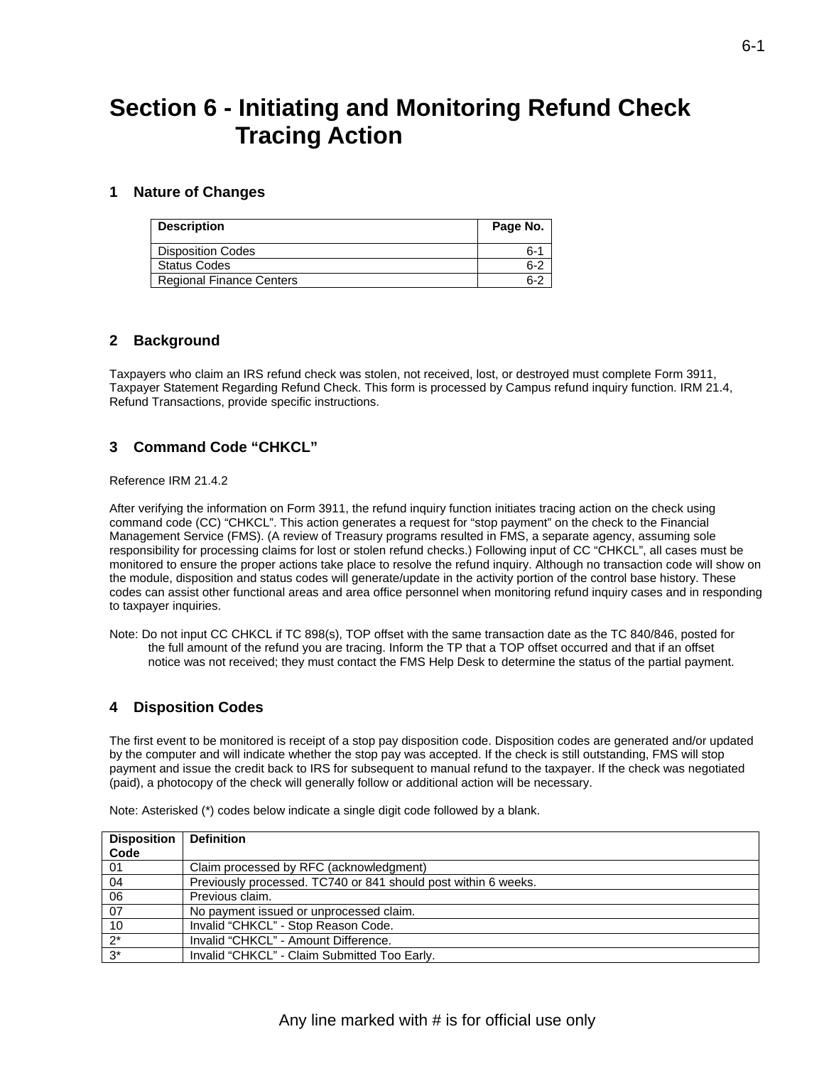# **Section 6 - Initiating and Monitoring Refund Check Tracing Action**

#### **1 Nature of Changes**

| <b>Description</b>              | Page No. |
|---------------------------------|----------|
| <b>Disposition Codes</b>        | $6 - 1$  |
| <b>Status Codes</b>             | $6-2$    |
| <b>Regional Finance Centers</b> | $6-2$    |

#### **2 Background**

Taxpayers who claim an IRS refund check was stolen, not received, lost, or destroyed must complete Form 3911, Taxpayer Statement Regarding Refund Check. This form is processed by Campus refund inquiry function. IRM 21.4, Refund Transactions, provide specific instructions.

### **3 Command Code "CHKCL"**

Reference IRM 21.4.2

After verifying the information on Form 3911, the refund inquiry function initiates tracing action on the check using command code (CC) "CHKCL". This action generates a request for "stop payment" on the check to the Financial Management Service (FMS). (A review of Treasury programs resulted in FMS, a separate agency, assuming sole responsibility for processing claims for lost or stolen refund checks.) Following input of CC "CHKCL", all cases must be monitored to ensure the proper actions take place to resolve the refund inquiry. Although no transaction code will show on the module, disposition and status codes will generate/update in the activity portion of the control base history. These codes can assist other functional areas and area office personnel when monitoring refund inquiry cases and in responding to taxpayer inquiries.

Note: Do not input CC CHKCL if TC 898(s), TOP offset with the same transaction date as the TC 840/846, posted for the full amount of the refund you are tracing. Inform the TP that a TOP offset occurred and that if an offset notice was not received; they must contact the FMS Help Desk to determine the status of the partial payment.

## **4 Disposition Codes**

The first event to be monitored is receipt of a stop pay disposition code. Disposition codes are generated and/or updated by the computer and will indicate whether the stop pay was accepted. If the check is still outstanding, FMS will stop payment and issue the credit back to IRS for subsequent to manual refund to the taxpayer. If the check was negotiated (paid), a photocopy of the check will generally follow or additional action will be necessary.

| <b>Disposition</b> | <b>Definition</b>                                              |
|--------------------|----------------------------------------------------------------|
| Code               |                                                                |
| 01                 | Claim processed by RFC (acknowledgment)                        |
| 04                 | Previously processed. TC740 or 841 should post within 6 weeks. |
| 06                 | Previous claim.                                                |
| 07                 | No payment issued or unprocessed claim.                        |
| 10                 | Invalid "CHKCL" - Stop Reason Code.                            |
| $2^*$              | Invalid "CHKCL" - Amount Difference.                           |
| $3^*$              | Invalid "CHKCL" - Claim Submitted Too Early.                   |

Note: Asterisked (\*) codes below indicate a single digit code followed by a blank.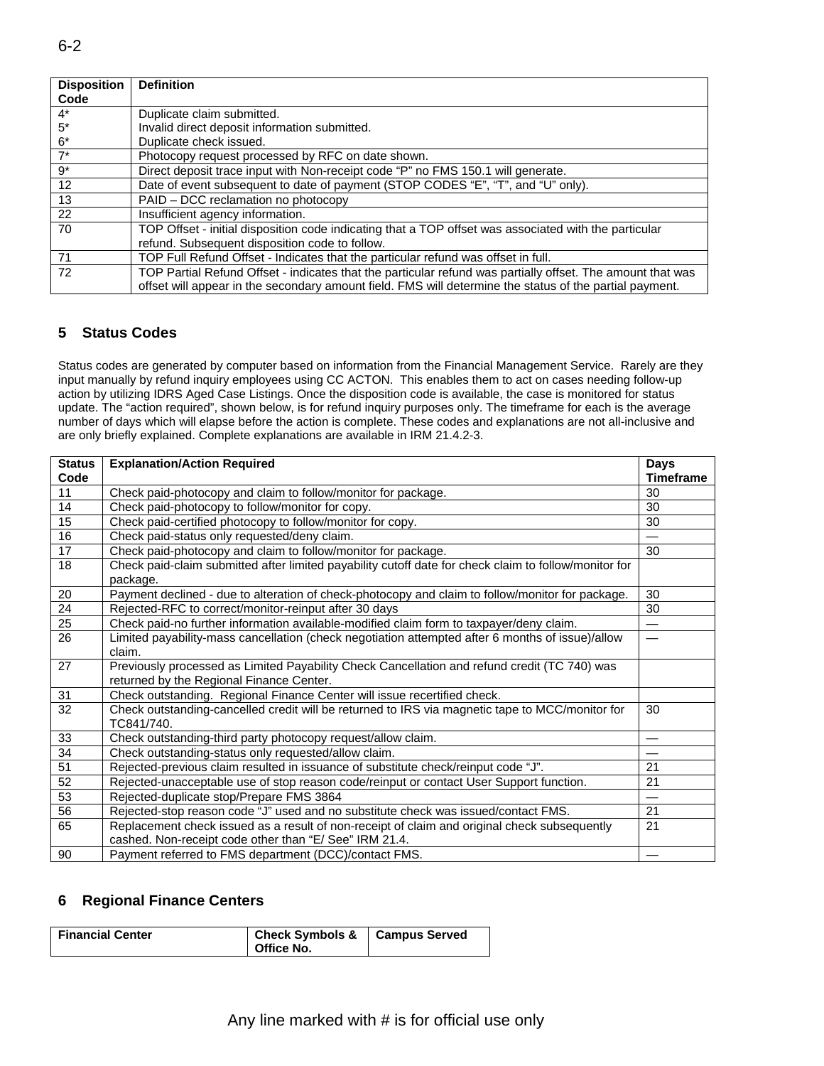| <b>Disposition</b> | <b>Definition</b>                                                                                          |
|--------------------|------------------------------------------------------------------------------------------------------------|
| Code               |                                                                                                            |
| $4^*$              | Duplicate claim submitted.                                                                                 |
| $5*$               | Invalid direct deposit information submitted.                                                              |
| $6*$               | Duplicate check issued.                                                                                    |
| $7^*$              | Photocopy request processed by RFC on date shown.                                                          |
| $9*$               | Direct deposit trace input with Non-receipt code "P" no FMS 150.1 will generate.                           |
| 12                 | Date of event subsequent to date of payment (STOP CODES "E", "T", and "U" only).                           |
| 13                 | PAID - DCC reclamation no photocopy                                                                        |
| 22                 | Insufficient agency information.                                                                           |
| 70                 | TOP Offset - initial disposition code indicating that a TOP offset was associated with the particular      |
|                    | refund. Subsequent disposition code to follow.                                                             |
| 71                 | TOP Full Refund Offset - Indicates that the particular refund was offset in full.                          |
| 72                 | TOP Partial Refund Offset - indicates that the particular refund was partially offset. The amount that was |
|                    | offset will appear in the secondary amount field. FMS will determine the status of the partial payment.    |

## **5 Status Codes**

 Status codes are generated by computer based on information from the Financial Management Service. Rarely are they input manually by refund inquiry employees using CC ACTON. This enables them to act on cases needing follow-up action by utilizing IDRS Aged Case Listings. Once the disposition code is available, the case is monitored for status update. The "action required", shown below, is for refund inquiry purposes only. The timeframe for each is the average number of days which will elapse before the action is complete. These codes and explanations are not all-inclusive and are only briefly explained. Complete explanations are available in IRM 21.4.2-3.

| <b>Status</b>   | <b>Explanation/Action Required</b>                                                                    | <b>Days</b>              |
|-----------------|-------------------------------------------------------------------------------------------------------|--------------------------|
| Code            |                                                                                                       | <b>Timeframe</b>         |
| 11              | Check paid-photocopy and claim to follow/monitor for package.                                         | 30                       |
| 14              | Check paid-photocopy to follow/monitor for copy.                                                      | 30                       |
| 15              | Check paid-certified photocopy to follow/monitor for copy.                                            | 30                       |
| 16              | Check paid-status only requested/deny claim.                                                          | $\overline{\phantom{0}}$ |
| 17              | Check paid-photocopy and claim to follow/monitor for package.                                         | 30                       |
| 18              | Check paid-claim submitted after limited payability cutoff date for check claim to follow/monitor for |                          |
|                 | package.                                                                                              |                          |
| 20              | Payment declined - due to alteration of check-photocopy and claim to follow/monitor for package.      | 30                       |
| $\overline{24}$ | Rejected-RFC to correct/monitor-reinput after 30 days                                                 | 30                       |
| 25              | Check paid-no further information available-modified claim form to taxpayer/deny claim.               | $\overline{\phantom{0}}$ |
| 26              | Limited payability-mass cancellation (check negotiation attempted after 6 months of issue)/allow      |                          |
|                 | claim.                                                                                                |                          |
| 27              | Previously processed as Limited Payability Check Cancellation and refund credit (TC 740) was          |                          |
|                 | returned by the Regional Finance Center.                                                              |                          |
| 31              | Check outstanding. Regional Finance Center will issue recertified check.                              |                          |
| 32              | Check outstanding-cancelled credit will be returned to IRS via magnetic tape to MCC/monitor for       | 30                       |
|                 | TC841/740.                                                                                            |                          |
| 33              | Check outstanding-third party photocopy request/allow claim.                                          |                          |
| 34              | Check outstanding-status only requested/allow claim.                                                  | —                        |
| 51              | Rejected-previous claim resulted in issuance of substitute check/reinput code "J".                    | 21                       |
| 52              | Rejected-unacceptable use of stop reason code/reinput or contact User Support function.               | 21                       |
| 53              | Rejected-duplicate stop/Prepare FMS 3864                                                              |                          |
| 56              | Rejected-stop reason code "J" used and no substitute check was issued/contact FMS.                    | 21                       |
| 65              | Replacement check issued as a result of non-receipt of claim and original check subsequently          | 21                       |
|                 | cashed. Non-receipt code other than "E/ See" IRM 21.4.                                                |                          |
| 90              | Payment referred to FMS department (DCC)/contact FMS.                                                 |                          |

## **6 Regional Finance Centers**

| <b>Financial Center</b> | Check Symbols & Campus Served<br>Office No. |  |
|-------------------------|---------------------------------------------|--|
|-------------------------|---------------------------------------------|--|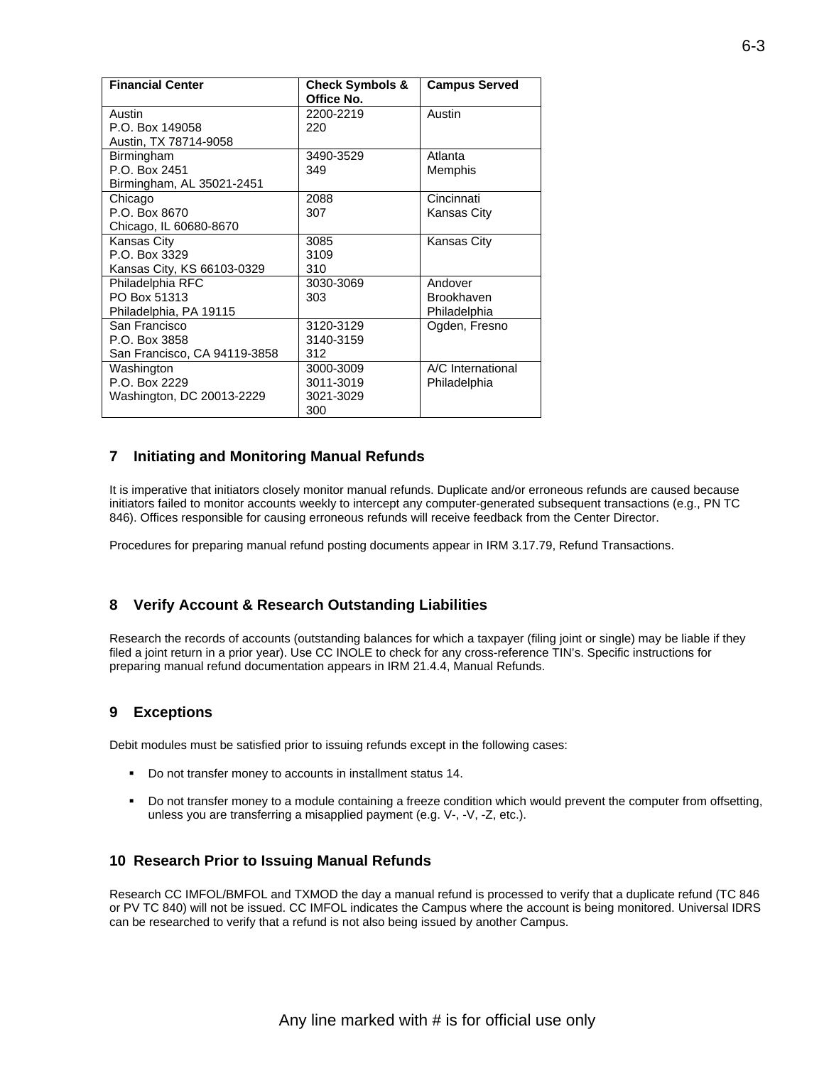| <b>Financial Center</b>      | <b>Check Symbols &amp;</b> | <b>Campus Served</b> |
|------------------------------|----------------------------|----------------------|
|                              | Office No.                 |                      |
| Austin                       | 2200-2219                  | Austin               |
| P.O. Box 149058              | 220                        |                      |
| Austin, TX 78714-9058        |                            |                      |
| Birmingham                   | 3490-3529                  | Atlanta              |
| P.O. Box 2451                | 349                        | Memphis              |
| Birmingham, AL 35021-2451    |                            |                      |
| Chicago                      | 2088                       | Cincinnati           |
| P.O. Box 8670                | 307                        | Kansas City          |
| Chicago, IL 60680-8670       |                            |                      |
| Kansas City                  | 3085                       | <b>Kansas City</b>   |
| P.O. Box 3329                | 3109                       |                      |
| Kansas City, KS 66103-0329   | 310                        |                      |
| Philadelphia RFC             | 3030-3069                  | Andover              |
| PO Box 51313                 | 303                        | <b>Brookhaven</b>    |
| Philadelphia, PA 19115       |                            | Philadelphia         |
| San Francisco                | 3120-3129                  | Ogden, Fresno        |
| P.O. Box 3858                | 3140-3159                  |                      |
| San Francisco, CA 94119-3858 | 312                        |                      |
| Washington                   | 3000-3009                  | A/C International    |
| P.O. Box 2229                | 3011-3019                  | Philadelphia         |
| Washington, DC 20013-2229    | 3021-3029                  |                      |
|                              | 300                        |                      |

#### **7 Initiating and Monitoring Manual Refunds**

It is imperative that initiators closely monitor manual refunds. Duplicate and/or erroneous refunds are caused because initiators failed to monitor accounts weekly to intercept any computer-generated subsequent transactions (e.g., PN TC 846). Offices responsible for causing erroneous refunds will receive feedback from the Center Director.

Procedures for preparing manual refund posting documents appear in IRM 3.17.79, Refund Transactions.

#### **8 Verify Account & Research Outstanding Liabilities**

Research the records of accounts (outstanding balances for which a taxpayer (filing joint or single) may be liable if they filed a joint return in a prior year). Use CC INOLE to check for any cross-reference TIN's. Specific instructions for preparing manual refund documentation appears in IRM 21.4.4, Manual Refunds.

#### **9 Exceptions**

Debit modules must be satisfied prior to issuing refunds except in the following cases:

- Do not transfer money to accounts in installment status 14.
- Do not transfer money to a module containing a freeze condition which would prevent the computer from offsetting, unless you are transferring a misapplied payment (e.g. V-, -V, -Z, etc.).

#### **10 Research Prior to Issuing Manual Refunds**

Research CC IMFOL/BMFOL and TXMOD the day a manual refund is processed to verify that a duplicate refund (TC 846 or PV TC 840) will not be issued. CC IMFOL indicates the Campus where the account is being monitored. Universal IDRS can be researched to verify that a refund is not also being issued by another Campus.